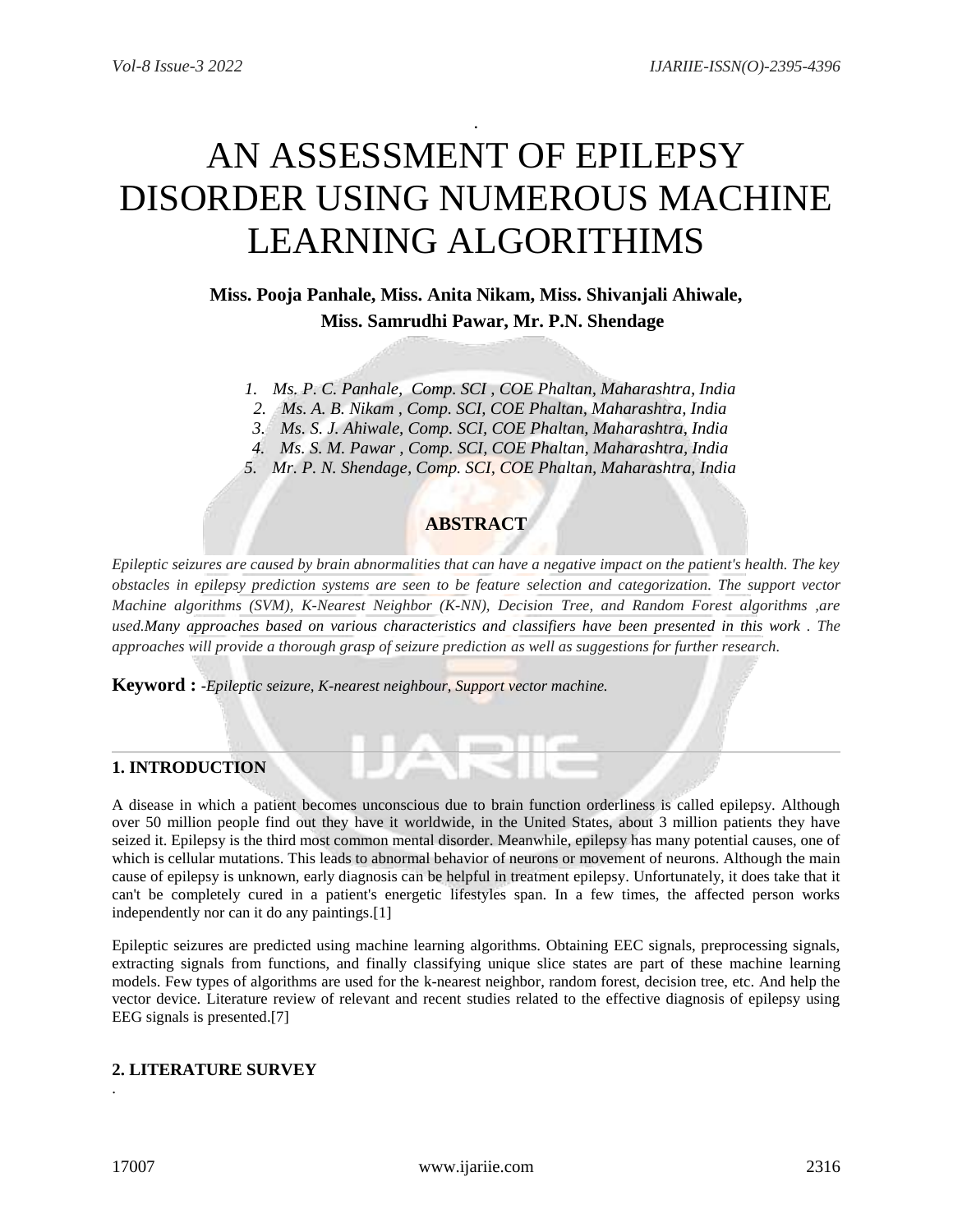# AN ASSESSMENT OF EPILEPSY DISORDER USING NUMEROUS MACHINE LEARNING ALGORITHIMS

.

**Miss. Pooja Panhale, Miss. Anita Nikam, Miss. Shivanjali Ahiwale, Miss. Samrudhi Pawar, Mr. P.N. Shendage**

*1. Ms. P. C. Panhale, Comp. SCI , COE Phaltan, Maharashtra, India*

*2. Ms. A. B. Nikam , Comp. SCI, COE Phaltan, Maharashtra, India*

*3. Ms. S. J. Ahiwale, Comp. SCI, COE Phaltan, Maharashtra, India*

*4. Ms. S. M. Pawar , Comp. SCI, COE Phaltan, Maharashtra, India*

*5. Mr. P. N. Shendage, Comp. SCI, COE Phaltan, Maharashtra, India*

# **ABSTRACT**

*Epileptic seizures are caused by brain abnormalities that can have a negative impact on the patient's health. The key obstacles in epilepsy prediction systems are seen to be feature selection and categorization. The support vector Machine algorithms (SVM), K-Nearest Neighbor (K-NN), Decision Tree, and Random Forest algorithms ,are used.Many approaches based on various characteristics and classifiers have been presented in this work . The approaches will provide a thorough grasp of seizure prediction as well as suggestions for further research.*

**Keyword : -***Epileptic seizure, K-nearest neighbour, Support vector machine.*

# **1. INTRODUCTION**

A disease in which a patient becomes unconscious due to brain function orderliness is called epilepsy. Although over 50 million people find out they have it worldwide, in the United States, about 3 million patients they have seized it. Epilepsy is the third most common mental disorder. Meanwhile, epilepsy has many potential causes, one of which is cellular mutations. This leads to abnormal behavior of neurons or movement of neurons. Although the main cause of epilepsy is unknown, early diagnosis can be helpful in treatment epilepsy. Unfortunately, it does take that it can't be completely cured in a patient's energetic lifestyles span. In a few times, the affected person works independently nor can it do any paintings.[1]

Epileptic seizures are predicted using machine learning algorithms. Obtaining EEC signals, preprocessing signals, extracting signals from functions, and finally classifying unique slice states are part of these machine learning models. Few types of algorithms are used for the k-nearest neighbor, random forest, decision tree, etc. And help the vector device. Literature review of relevant and recent studies related to the effective diagnosis of epilepsy using EEG signals is presented.[7]

# **2. LITERATURE SURVEY**

.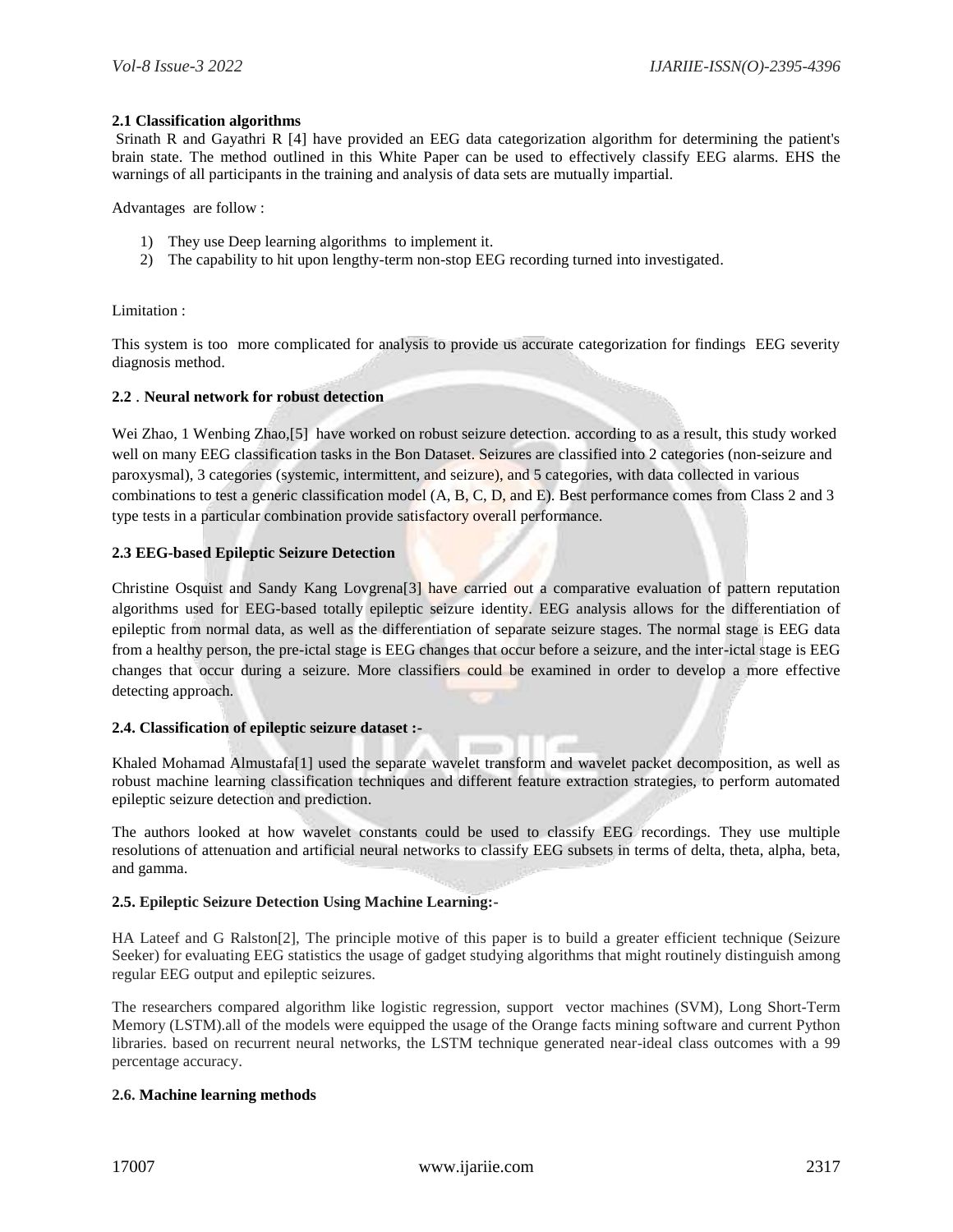#### **2.1 Classification algorithms**

Srinath R and Gayathri R [4] have provided an EEG data categorization algorithm for determining the patient's brain state. The method outlined in this White Paper can be used to effectively classify EEG alarms. EHS the warnings of all participants in the training and analysis of data sets are mutually impartial.

Advantages are follow :

- 1) They use Deep learning algorithms to implement it.
- 2) The capability to hit upon lengthy-term non-stop EEG recording turned into investigated.

Limitation :

This system is too more complicated for analysis to provide us accurate categorization for findings EEG severity diagnosis method.

#### **2.2** . **Neural network for robust detection**

Wei Zhao, 1 Wenbing Zhao,[5] have worked on robust seizure detection. according to as a result, this study worked well on many EEG classification tasks in the Bon Dataset. Seizures are classified into 2 categories (non-seizure and paroxysmal), 3 categories (systemic, intermittent, and seizure), and 5 categories, with data collected in various combinations to test a generic classification model (A, B, C, D, and E). Best performance comes from Class 2 and 3 type tests in a particular combination provide satisfactory overall performance.

#### **2.3 EEG-based Epileptic Seizure Detection**

Christine Osquist and Sandy Kang Lovgrena[3] have carried out a comparative evaluation of pattern reputation algorithms used for EEG-based totally epileptic seizure identity. EEG analysis allows for the differentiation of epileptic from normal data, as well as the differentiation of separate seizure stages. The normal stage is EEG data from a healthy person, the pre-ictal stage is EEG changes that occur before a seizure, and the inter-ictal stage is EEG changes that occur during a seizure. More classifiers could be examined in order to develop a more effective detecting approach.

#### **2.4. Classification of epileptic seizure dataset :-**

Khaled Mohamad Almustafa[1] used the separate wavelet transform and wavelet packet decomposition, as well as robust machine learning classification techniques and different feature extraction strategies, to perform automated epileptic seizure detection and prediction.

The authors looked at how wavelet constants could be used to classify EEG recordings. They use multiple resolutions of attenuation and artificial neural networks to classify EEG subsets in terms of delta, theta, alpha, beta, and gamma.

#### **2.5. Epileptic Seizure Detection Using Machine Learning:-**

HA Lateef and G Ralston[2], The principle motive of this paper is to build a greater efficient technique (Seizure Seeker) for evaluating EEG statistics the usage of gadget studying algorithms that might routinely distinguish among regular EEG output and epileptic seizures.

The researchers compared algorithm like logistic regression, support vector machines (SVM), Long Short-Term Memory (LSTM).all of the models were equipped the usage of the Orange facts mining software and current Python libraries. based on recurrent neural networks, the LSTM technique generated near-ideal class outcomes with a 99 percentage accuracy.

### **2.6. Machine learning methods**